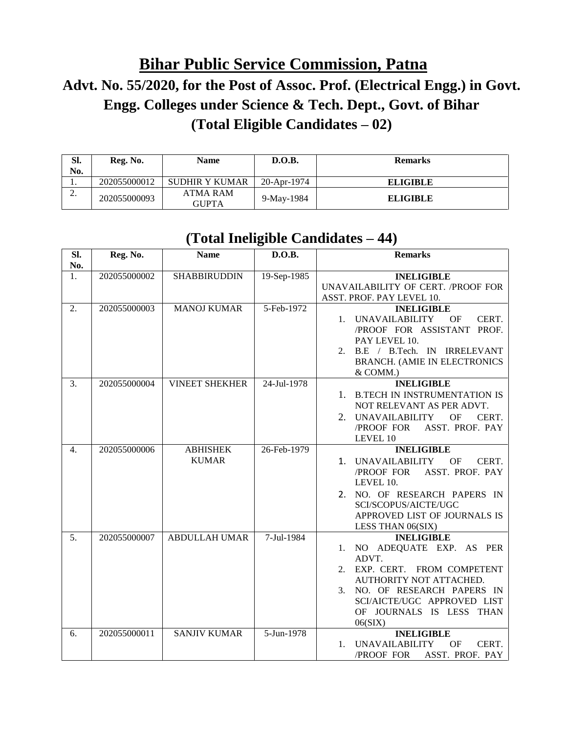## **Bihar Public Service Commission, Patna Advt. No. 55/2020, for the Post of Assoc. Prof. (Electrical Engg.) in Govt. Engg. Colleges under Science & Tech. Dept., Govt. of Bihar (Total Eligible Candidates – 02)**

| SI.<br>No. | Reg. No.     | <b>Name</b>              | D.O.B.      | <b>Remarks</b>  |
|------------|--------------|--------------------------|-------------|-----------------|
| .,         | 202055000012 | SUDHIR Y KUMAR           | 20-Apr-1974 | <b>ELIGIBLE</b> |
| ٠.         | 202055000093 | ATMA RAM<br><b>GUPTA</b> | 9-May-1984  | <b>ELIGIBLE</b> |

## **(Total Ineligible Candidates – 44)**

| SI.<br>No. | Reg. No.     | <b>Name</b>                     | D.O.B.      | <b>Remarks</b>                                                                                                                                                                                                               |
|------------|--------------|---------------------------------|-------------|------------------------------------------------------------------------------------------------------------------------------------------------------------------------------------------------------------------------------|
| 1.         | 202055000002 | <b>SHABBIRUDDIN</b>             | 19-Sep-1985 | <b>INELIGIBLE</b><br>UNAVAILABILITY OF CERT. /PROOF FOR<br>ASST. PROF. PAY LEVEL 10.                                                                                                                                         |
| 2.         | 202055000003 | <b>MANOJ KUMAR</b>              | 5-Feb-1972  | <b>INELIGIBLE</b><br><b>UNAVAILABILITY</b><br>OF<br>CERT.<br>1.<br>/PROOF FOR ASSISTANT PROF.<br>PAY LEVEL 10.<br>2. B.E / B.Tech. IN IRRELEVANT<br><b>BRANCH. (AMIE IN ELECTRONICS</b><br>& COMM.)                          |
| 3.         | 202055000004 | <b>VINEET SHEKHER</b>           | 24-Jul-1978 | <b>INELIGIBLE</b><br><b>B.TECH IN INSTRUMENTATION IS</b><br>1.<br>NOT RELEVANT AS PER ADVT.<br>2. UNAVAILABILITY<br><b>OF</b><br>CERT.<br>ASST. PROF. PAY<br>/PROOF FOR<br>LEVEL 10                                          |
| 4.         | 202055000006 | <b>ABHISHEK</b><br><b>KUMAR</b> | 26-Feb-1979 | <b>INELIGIBLE</b><br>1. UNAVAILABILITY<br>OF<br>CERT.<br>/PROOF FOR<br>ASST. PROF. PAY<br>LEVEL 10.<br>2. NO. OF RESEARCH PAPERS IN<br>SCI/SCOPUS/AICTE/UGC<br>APPROVED LIST OF JOURNALS IS<br>LESS THAN 06(SIX)             |
| 5.         | 202055000007 | <b>ABDULLAH UMAR</b>            | 7-Jul-1984  | <b>INELIGIBLE</b><br>NO ADEQUATE EXP. AS PER<br>1.<br>ADVT.<br>2. EXP. CERT. FROM COMPETENT<br>AUTHORITY NOT ATTACHED.<br>3. NO. OF RESEARCH PAPERS IN<br>SCI/AICTE/UGC APPROVED LIST<br>OF JOURNALS IS LESS THAN<br>06(SIX) |
| 6.         | 202055000011 | <b>SANJIV KUMAR</b>             | 5-Jun-1978  | <b>INELIGIBLE</b><br><b>UNAVAILABILITY</b><br><b>OF</b><br>CERT.<br>$\mathbf{1}$ .<br>ASST. PROF. PAY<br>/PROOF FOR                                                                                                          |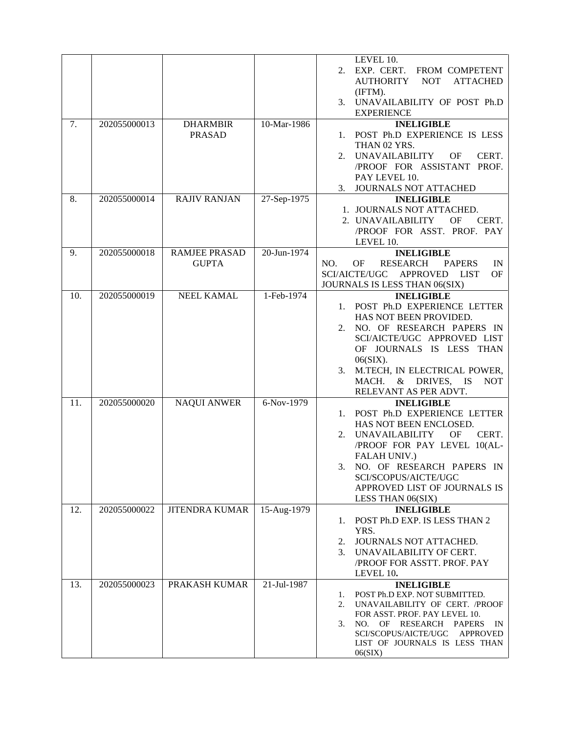| 7.  | 202055000013 | <b>DHARMBIR</b><br><b>PRASAD</b>     | 10-Mar-1986   | LEVEL 10.<br>EXP. CERT. FROM COMPETENT<br>2.<br><b>AUTHORITY</b><br><b>ATTACHED</b><br><b>NOT</b><br>(IFTM).<br>3. UNAVAILABILITY OF POST Ph.D<br><b>EXPERIENCE</b><br><b>INELIGIBLE</b><br>1. POST Ph.D EXPERIENCE IS LESS<br>THAN 02 YRS.<br>2. UNAVAILABILITY<br>CERT.<br>OF<br>/PROOF FOR ASSISTANT PROF.<br>PAY LEVEL 10.<br>3.<br>JOURNALS NOT ATTACHED |
|-----|--------------|--------------------------------------|---------------|---------------------------------------------------------------------------------------------------------------------------------------------------------------------------------------------------------------------------------------------------------------------------------------------------------------------------------------------------------------|
| 8.  | 202055000014 | <b>RAJIV RANJAN</b>                  | $27-Sep-1975$ | <b>INELIGIBLE</b><br>1. JOURNALS NOT ATTACHED.<br>2. UNAVAILABILITY<br>OF<br>CERT.<br>/PROOF FOR ASST. PROF. PAY<br>LEVEL 10.                                                                                                                                                                                                                                 |
| 9.  | 202055000018 | <b>RAMJEE PRASAD</b><br><b>GUPTA</b> | 20-Jun-1974   | <b>INELIGIBLE</b><br>OF<br><b>RESEARCH</b><br>NO.<br><b>PAPERS</b><br>IN<br>SCI/AICTE/UGC<br><b>APPROVED</b><br>LIST<br>OF<br>JOURNALS IS LESS THAN 06(SIX)                                                                                                                                                                                                   |
| 10. | 202055000019 | NEEL KAMAL                           | 1-Feb-1974    | <b>INELIGIBLE</b><br>1. POST Ph.D EXPERIENCE LETTER<br>HAS NOT BEEN PROVIDED.<br>NO. OF RESEARCH PAPERS IN<br>2.<br>SCI/AICTE/UGC APPROVED LIST<br>OF JOURNALS IS LESS THAN<br>06(SIX).<br>M.TECH, IN ELECTRICAL POWER,<br>3.<br>MACH. & DRIVES, IS<br><b>NOT</b><br>RELEVANT AS PER ADVT.                                                                    |
| 11. | 202055000020 | <b>NAQUI ANWER</b>                   | 6-Nov-1979    | <b>INELIGIBLE</b><br>1. POST Ph.D EXPERIENCE LETTER<br>HAS NOT BEEN ENCLOSED.<br>2. UNAVAILABILITY<br>CERT.<br>OF<br>/PROOF FOR PAY LEVEL 10(AL-<br>FALAH UNIV.)<br>NO. OF RESEARCH PAPERS IN<br>3.<br>SCI/SCOPUS/AICTE/UGC<br>APPROVED LIST OF JOURNALS IS<br>LESS THAN 06(SIX)                                                                              |
| 12. | 202055000022 | <b>JITENDRA KUMAR</b>                | 15-Aug-1979   | <b>INELIGIBLE</b><br>POST Ph.D EXP. IS LESS THAN 2<br>1.<br>YRS.<br>JOURNALS NOT ATTACHED.<br>2.<br>3. UNAVAILABILITY OF CERT.<br>/PROOF FOR ASSTT. PROF. PAY<br>LEVEL 10.                                                                                                                                                                                    |
| 13. | 202055000023 | PRAKASH KUMAR                        | 21-Jul-1987   | <b>INELIGIBLE</b><br>POST Ph.D EXP. NOT SUBMITTED.<br>1.<br>UNAVAILABILITY OF CERT. /PROOF<br>2.<br>FOR ASST. PROF. PAY LEVEL 10.<br>NO.<br>OF.<br>RESEARCH<br><b>PAPERS</b><br>3.<br>$_{\rm IN}$<br>SCI/SCOPUS/AICTE/UGC<br><b>APPROVED</b><br>LIST OF JOURNALS IS LESS THAN<br>06(SIX)                                                                      |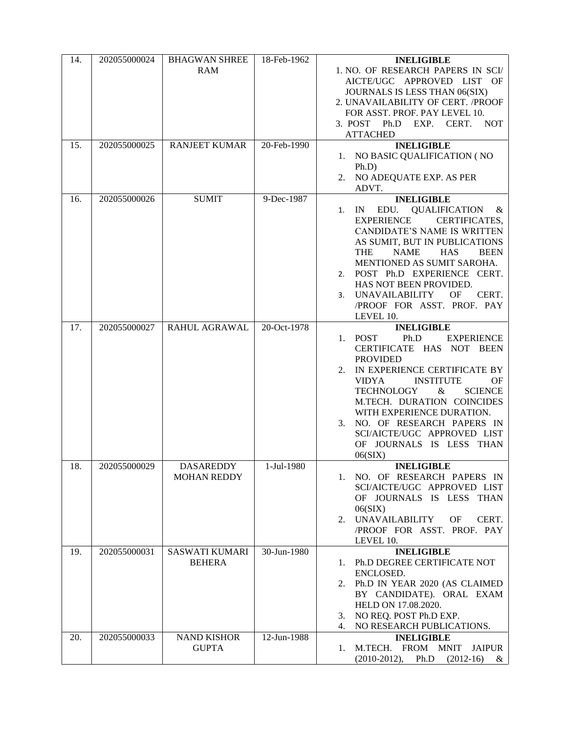| 14. | 202055000024 | <b>BHAGWAN SHREE</b>  | 18-Feb-1962 | <b>INELIGIBLE</b>                                      |
|-----|--------------|-----------------------|-------------|--------------------------------------------------------|
|     |              | RAM                   |             | 1. NO. OF RESEARCH PAPERS IN SCI/                      |
|     |              |                       |             | AICTE/UGC APPROVED LIST OF                             |
|     |              |                       |             | JOURNALS IS LESS THAN 06(SIX)                          |
|     |              |                       |             | 2. UNAVAILABILITY OF CERT. /PROOF                      |
|     |              |                       |             | FOR ASST. PROF. PAY LEVEL 10.                          |
|     |              |                       |             | EXP. CERT.<br><b>NOT</b><br>3. POST Ph.D               |
|     |              |                       |             | <b>ATTACHED</b>                                        |
| 15. | 202055000025 | <b>RANJEET KUMAR</b>  | 20-Feb-1990 | <b>INELIGIBLE</b>                                      |
|     |              |                       |             | 1. NO BASIC QUALIFICATION (NO<br>Ph.D                  |
|     |              |                       |             | NO ADEQUATE EXP. AS PER<br>2.                          |
|     |              |                       |             | ADVT.                                                  |
| 16. | 202055000026 | <b>SUMIT</b>          | 9-Dec-1987  | <b>INELIGIBLE</b>                                      |
|     |              |                       |             | <b>QUALIFICATION</b><br>EDU.<br>IN<br>&<br>1.          |
|     |              |                       |             | <b>EXPERIENCE</b><br>CERTIFICATES,                     |
|     |              |                       |             | CANDIDATE'S NAME IS WRITTEN                            |
|     |              |                       |             | AS SUMIT, BUT IN PUBLICATIONS                          |
|     |              |                       |             | <b>THE</b><br><b>NAME</b><br><b>HAS</b><br><b>BEEN</b> |
|     |              |                       |             | MENTIONED AS SUMIT SAROHA.                             |
|     |              |                       |             | 2. POST Ph.D EXPERIENCE CERT.                          |
|     |              |                       |             | HAS NOT BEEN PROVIDED.                                 |
|     |              |                       |             | <b>UNAVAILABILITY</b><br><b>OF</b><br>CERT.<br>3.      |
|     |              |                       |             | /PROOF FOR ASST. PROF. PAY                             |
|     |              |                       |             | LEVEL 10.                                              |
| 17. | 202055000027 | RAHUL AGRAWAL         | 20-Oct-1978 | <b>INELIGIBLE</b>                                      |
|     |              |                       |             | Ph.D<br>1. POST<br><b>EXPERIENCE</b>                   |
|     |              |                       |             | CERTIFICATE HAS NOT BEEN<br><b>PROVIDED</b>            |
|     |              |                       |             | IN EXPERIENCE CERTIFICATE BY<br>2.                     |
|     |              |                       |             | <b>INSTITUTE</b><br><b>VIDYA</b><br>OF                 |
|     |              |                       |             | <b>TECHNOLOGY</b><br>$\&$<br><b>SCIENCE</b>            |
|     |              |                       |             | M.TECH. DURATION COINCIDES                             |
|     |              |                       |             | WITH EXPERIENCE DURATION.                              |
|     |              |                       |             | NO. OF RESEARCH PAPERS IN<br>3.                        |
|     |              |                       |             | SCI/AICTE/UGC APPROVED LIST                            |
|     |              |                       |             | OF JOURNALS IS LESS THAN                               |
|     |              |                       |             | 06(SIX)                                                |
| 18. | 202055000029 | <b>DASAREDDY</b>      | 1-Jul-1980  | <b>INELIGIBLE</b>                                      |
|     |              | <b>MOHAN REDDY</b>    |             | 1. NO. OF RESEARCH PAPERS IN                           |
|     |              |                       |             | SCI/AICTE/UGC APPROVED LIST                            |
|     |              |                       |             | OF JOURNALS IS LESS THAN                               |
|     |              |                       |             | 06(SIX)                                                |
|     |              |                       |             | <b>UNAVAILABILITY</b><br>CERT.<br>OF.<br>2.            |
|     |              |                       |             | /PROOF FOR ASST. PROF. PAY                             |
| 19. | 202055000031 | <b>SASWATI KUMARI</b> | 30-Jun-1980 | LEVEL 10.<br><b>INELIGIBLE</b>                         |
|     |              | <b>BEHERA</b>         |             | 1. Ph.D DEGREE CERTIFICATE NOT                         |
|     |              |                       |             | ENCLOSED.                                              |
|     |              |                       |             | 2. Ph.D IN YEAR 2020 (AS CLAIMED                       |
|     |              |                       |             | BY CANDIDATE). ORAL EXAM                               |
|     |              |                       |             | HELD ON 17.08.2020.                                    |
|     |              |                       |             | 3. NO REQ. POST Ph.D EXP.                              |
|     |              |                       |             | NO RESEARCH PUBLICATIONS.<br>4.                        |
| 20. | 202055000033 | <b>NAND KISHOR</b>    | 12-Jun-1988 | <b>INELIGIBLE</b>                                      |
|     |              | <b>GUPTA</b>          |             | M.TECH. FROM MNIT<br>JAIPUR<br>1.                      |
|     |              |                       |             | $(2010-2012),$<br>Ph.D<br>$(2012-16)$<br>&             |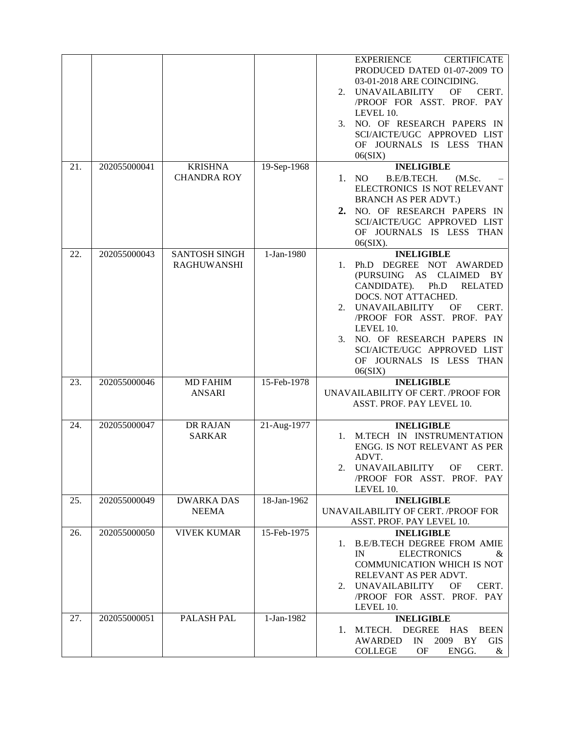|     |              |                                            |             | <b>EXPERIENCE</b><br><b>CERTIFICATE</b><br>PRODUCED DATED 01-07-2009 TO<br>03-01-2018 ARE COINCIDING.<br><b>UNAVAILABILITY</b><br>OF<br>CERT.<br>2.<br>/PROOF FOR ASST. PROF. PAY<br>LEVEL 10.<br>NO. OF RESEARCH PAPERS IN<br>3.<br>SCI/AICTE/UGC APPROVED LIST<br>OF JOURNALS IS LESS THAN<br>06(SIX)                                      |
|-----|--------------|--------------------------------------------|-------------|----------------------------------------------------------------------------------------------------------------------------------------------------------------------------------------------------------------------------------------------------------------------------------------------------------------------------------------------|
| 21. | 202055000041 | <b>KRISHNA</b><br><b>CHANDRA ROY</b>       | 19-Sep-1968 | <b>INELIGIBLE</b><br>1. NO<br>B.E/B.TECH.<br>(M.Sc.<br>ELECTRONICS IS NOT RELEVANT<br><b>BRANCH AS PER ADVT.)</b><br>NO. OF RESEARCH PAPERS IN<br>2.<br>SCI/AICTE/UGC APPROVED LIST<br>OF JOURNALS IS LESS THAN<br>$06(SIX)$ .                                                                                                               |
| 22. | 202055000043 | <b>SANTOSH SINGH</b><br><b>RAGHUWANSHI</b> | 1-Jan-1980  | <b>INELIGIBLE</b><br>Ph.D DEGREE NOT AWARDED<br>1.<br>(PURSUING AS CLAIMED BY<br>CANDIDATE).<br>Ph.D<br><b>RELATED</b><br>DOCS. NOT ATTACHED.<br><b>UNAVAILABILITY</b><br>OF<br>CERT.<br>2.<br>/PROOF FOR ASST. PROF. PAY<br>LEVEL 10.<br>3. NO. OF RESEARCH PAPERS IN<br>SCI/AICTE/UGC APPROVED LIST<br>OF JOURNALS IS LESS THAN<br>06(SIX) |
| 23. | 202055000046 | <b>MD FAHIM</b><br><b>ANSARI</b>           | 15-Feb-1978 | <b>INELIGIBLE</b><br>UNAVAILABILITY OF CERT. /PROOF FOR<br>ASST. PROF. PAY LEVEL 10.                                                                                                                                                                                                                                                         |
| 24. | 202055000047 | DR RAJAN<br><b>SARKAR</b>                  | 21-Aug-1977 | <b>INELIGIBLE</b><br>M.TECH IN INSTRUMENTATION<br>ENGG. IS NOT RELEVANT AS PER<br>ADVT.<br>2. UNAVAILABILITY OF CERT.<br>/PROOF FOR ASST. PROF. PAY<br>LEVEL 10.                                                                                                                                                                             |
| 25. | 202055000049 | <b>DWARKA DAS</b><br><b>NEEMA</b>          | 18-Jan-1962 | <b>INELIGIBLE</b><br>UNAVAILABILITY OF CERT. /PROOF FOR<br>ASST. PROF. PAY LEVEL 10.                                                                                                                                                                                                                                                         |
| 26. | 202055000050 | <b>VIVEK KUMAR</b>                         | 15-Feb-1975 | <b>INELIGIBLE</b><br>1. B.E/B.TECH DEGREE FROM AMIE<br><b>ELECTRONICS</b><br>IN<br>&<br>COMMUNICATION WHICH IS NOT<br>RELEVANT AS PER ADVT.<br>2. UNAVAILABILITY<br>OF.<br>CERT.<br>/PROOF FOR ASST. PROF. PAY<br>LEVEL 10.                                                                                                                  |
| 27. | 202055000051 | PALASH PAL                                 | 1-Jan-1982  | <b>INELIGIBLE</b><br>1. M.TECH. DEGREE HAS<br><b>BEEN</b><br>$\ensuremath{\text{IN}}$<br>2009<br>BY<br><b>AWARDED</b><br><b>GIS</b><br><b>COLLEGE</b><br>ENGG.<br>OF<br>&                                                                                                                                                                    |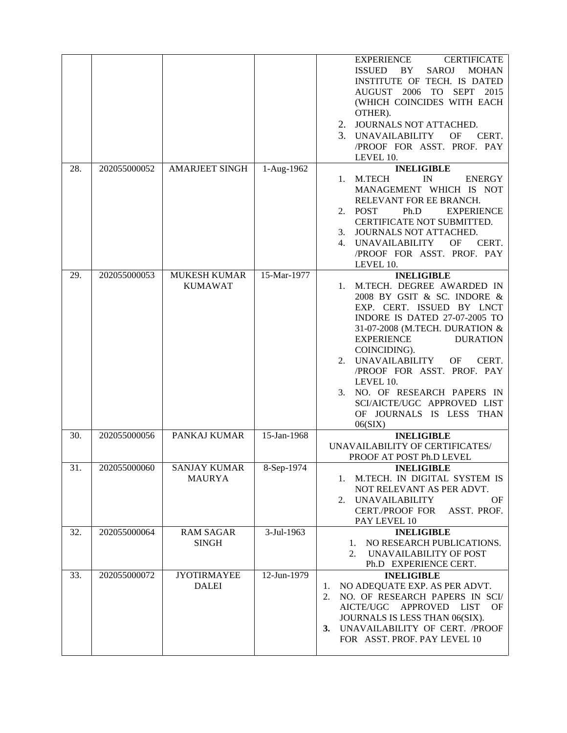|     |              |                                       |             | <b>CERTIFICATE</b><br><b>EXPERIENCE</b><br><b>SAROJ</b><br><b>ISSUED</b><br>BY.<br><b>MOHAN</b><br>INSTITUTE OF TECH. IS DATED<br>AUGUST 2006 TO SEPT 2015<br>(WHICH COINCIDES WITH EACH<br>OTHER).<br>2. JOURNALS NOT ATTACHED.<br>3. UNAVAILABILITY<br>OF<br>CERT.<br>/PROOF FOR ASST. PROF. PAY<br>LEVEL 10.                                                                                                                        |
|-----|--------------|---------------------------------------|-------------|----------------------------------------------------------------------------------------------------------------------------------------------------------------------------------------------------------------------------------------------------------------------------------------------------------------------------------------------------------------------------------------------------------------------------------------|
| 28. | 202055000052 | <b>AMARJEET SINGH</b>                 | 1-Aug-1962  | <b>INELIGIBLE</b><br>M.TECH<br>IN<br><b>ENERGY</b><br>1.<br>MANAGEMENT WHICH IS NOT<br>RELEVANT FOR EE BRANCH.<br><b>POST</b><br>Ph.D<br><b>EXPERIENCE</b><br>2.<br>CERTIFICATE NOT SUBMITTED.<br>JOURNALS NOT ATTACHED.<br>3.<br><b>UNAVAILABILITY</b><br>OF<br>CERT.<br>4.<br>/PROOF FOR ASST. PROF. PAY<br>LEVEL 10.                                                                                                                |
| 29. | 202055000053 | <b>MUKESH KUMAR</b><br><b>KUMAWAT</b> | 15-Mar-1977 | <b>INELIGIBLE</b><br>M.TECH. DEGREE AWARDED IN<br>1.<br>2008 BY GSIT & SC. INDORE &<br>EXP. CERT. ISSUED BY LNCT<br>INDORE IS DATED 27-07-2005 TO<br>31-07-2008 (M.TECH. DURATION &<br><b>EXPERIENCE</b><br><b>DURATION</b><br>COINCIDING).<br>UNAVAILABILITY<br>OF<br>CERT.<br>2.<br>/PROOF FOR ASST. PROF. PAY<br>LEVEL 10.<br>NO. OF RESEARCH PAPERS IN<br>3.<br>SCI/AICTE/UGC APPROVED LIST<br>OF JOURNALS IS LESS THAN<br>06(SIX) |
| 30. | 202055000056 | PANKAJ KUMAR                          | 15-Jan-1968 | <b>INELIGIBLE</b><br>UNAVAILABILITY OF CERTIFICATES/<br>PROOF AT POST Ph.D LEVEL                                                                                                                                                                                                                                                                                                                                                       |
| 31. | 202055000060 | <b>SANJAY KUMAR</b><br><b>MAURYA</b>  | 8-Sep-1974  | <b>INELIGIBLE</b><br>1. M.TECH. IN DIGITAL SYSTEM IS<br>NOT RELEVANT AS PER ADVT.<br>UNAVAILABILITY<br>ΟF<br>2.<br><b>CERT./PROOF FOR</b><br>ASST. PROF.<br>PAY LEVEL 10                                                                                                                                                                                                                                                               |
| 32. | 202055000064 | <b>RAM SAGAR</b><br><b>SINGH</b>      | 3-Jul-1963  | <b>INELIGIBLE</b><br>NO RESEARCH PUBLICATIONS.<br>1.<br>UNAVAILABILITY OF POST<br>2.<br>Ph.D EXPERIENCE CERT.                                                                                                                                                                                                                                                                                                                          |
| 33. | 202055000072 | <b>JYOTIRMAYEE</b><br><b>DALEI</b>    | 12-Jun-1979 | <b>INELIGIBLE</b><br>NO ADEQUATE EXP. AS PER ADVT.<br>1.<br>NO. OF RESEARCH PAPERS IN SCI/<br>2.<br>AICTE/UGC APPROVED<br><b>LIST</b><br>OF<br>JOURNALS IS LESS THAN 06(SIX).<br>3. UNAVAILABILITY OF CERT. /PROOF<br>FOR ASST. PROF. PAY LEVEL 10                                                                                                                                                                                     |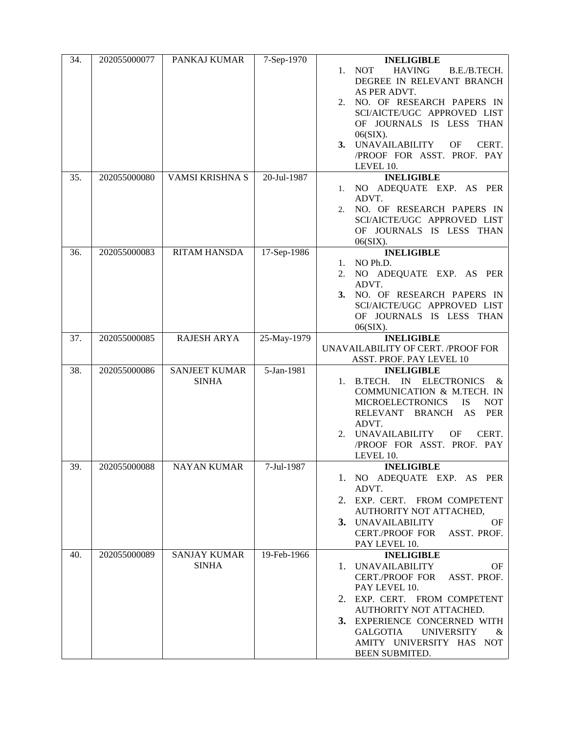| 34. | 202055000077 | PANKAJ KUMAR                         | 7-Sep-1970  | <b>INELIGIBLE</b><br><b>HAVING</b><br>1. NOT<br>B.E./B.TECH.<br>DEGREE IN RELEVANT BRANCH<br>AS PER ADVT.<br>2. NO. OF RESEARCH PAPERS IN<br>SCI/AICTE/UGC APPROVED LIST<br>OF JOURNALS IS LESS THAN<br>06(SIX).<br>3. UNAVAILABILITY<br>OF<br>CERT.<br>/PROOF FOR ASST. PROF. PAY                         |
|-----|--------------|--------------------------------------|-------------|------------------------------------------------------------------------------------------------------------------------------------------------------------------------------------------------------------------------------------------------------------------------------------------------------------|
| 35. | 202055000080 | VAMSI KRISHNA S                      | 20-Jul-1987 | LEVEL 10.<br><b>INELIGIBLE</b><br>NO ADEQUATE EXP. AS PER<br>1.<br>ADVT.<br>NO. OF RESEARCH PAPERS IN<br>2.<br>SCI/AICTE/UGC APPROVED LIST<br>OF JOURNALS IS LESS THAN<br>$06(SIX)$ .                                                                                                                      |
| 36. | 202055000083 | <b>RITAM HANSDA</b>                  | 17-Sep-1986 | <b>INELIGIBLE</b><br>NO Ph.D.<br>1.<br>NO ADEQUATE EXP. AS PER<br>2.<br>ADVT.<br>3. NO. OF RESEARCH PAPERS IN<br>SCI/AICTE/UGC APPROVED LIST<br>OF JOURNALS IS LESS THAN<br>$06(SIX)$ .                                                                                                                    |
| 37. | 202055000085 | <b>RAJESH ARYA</b>                   | 25-May-1979 | <b>INELIGIBLE</b><br>UNAVAILABILITY OF CERT. / PROOF FOR<br>ASST. PROF. PAY LEVEL 10                                                                                                                                                                                                                       |
| 38. | 202055000086 | <b>SANJEET KUMAR</b><br><b>SINHA</b> | 5-Jan-1981  | <b>INELIGIBLE</b><br>IN ELECTRONICS<br>B.TECH.<br>1.<br>$\alpha$<br>COMMUNICATION & M.TECH. IN<br><b>MICROELECTRONICS</b><br><b>IS</b><br><b>NOT</b><br>RELEVANT BRANCH AS<br>PER<br>ADVT.<br><b>UNAVAILABILITY</b><br>OF<br>CERT.<br>2.<br>/PROOF FOR ASST. PROF. PAY<br>LEVEL 10.                        |
| 39. | 202055000088 | <b>NAYAN KUMAR</b>                   | 7-Jul-1987  | <b>INELIGIBLE</b><br>1. NO ADEQUATE EXP. AS PER<br>ADVT.<br>2. EXP. CERT. FROM COMPETENT<br>AUTHORITY NOT ATTACHED,<br>3. UNAVAILABILITY<br><b>OF</b><br>CERT./PROOF FOR ASST. PROF.<br>PAY LEVEL 10.                                                                                                      |
| 40. | 202055000089 | <b>SANJAY KUMAR</b><br><b>SINHA</b>  | 19-Feb-1966 | <b>INELIGIBLE</b><br>1. UNAVAILABILITY<br><b>OF</b><br><b>CERT./PROOF FOR</b><br>ASST. PROF.<br>PAY LEVEL 10.<br>2. EXP. CERT. FROM COMPETENT<br>AUTHORITY NOT ATTACHED.<br>3. EXPERIENCE CONCERNED WITH<br><b>GALGOTIA</b><br><b>UNIVERSITY</b><br>&<br>AMITY UNIVERSITY HAS NOT<br><b>BEEN SUBMITED.</b> |